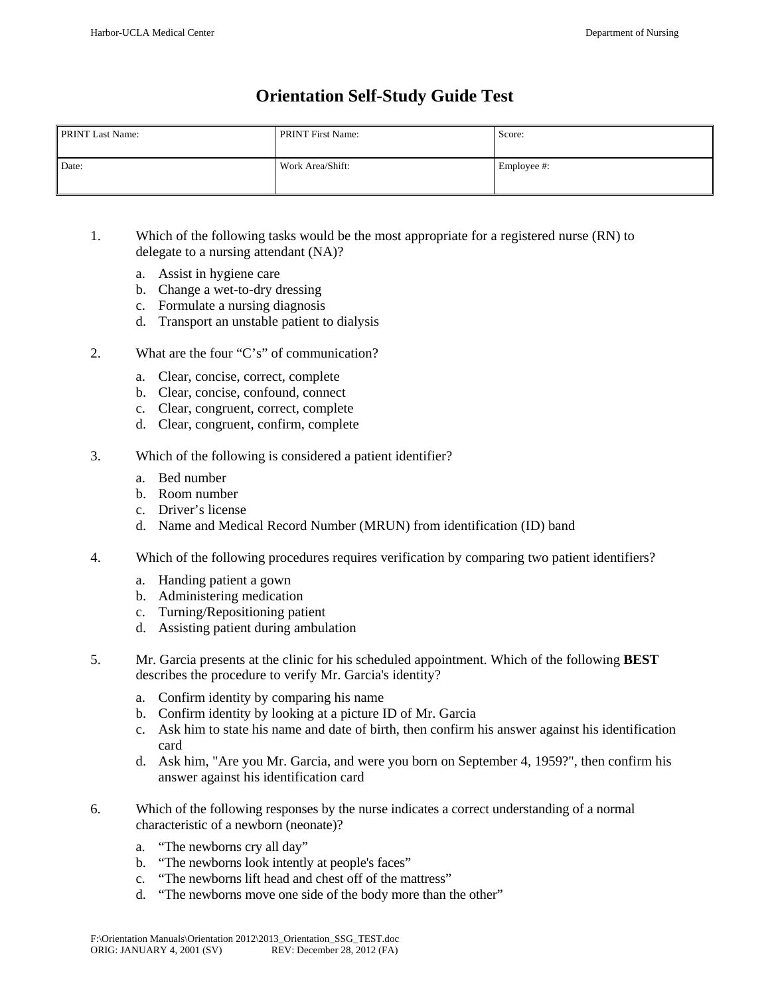# **Orientation Self-Study Guide Test**

| <b>PRINT Last Name:</b> | <b>PRINT First Name:</b> | Score:      |
|-------------------------|--------------------------|-------------|
| Date:                   | Work Area/Shift:         | Employee #: |

- 1. Which of the following tasks would be the most appropriate for a registered nurse (RN) to delegate to a nursing attendant (NA)?
	- a. Assist in hygiene care
	- b. Change a wet-to-dry dressing
	- c. Formulate a nursing diagnosis
	- d. Transport an unstable patient to dialysis
- 2. What are the four "C's" of communication?
	- a. Clear, concise, correct, complete
	- b. Clear, concise, confound, connect
	- c. Clear, congruent, correct, complete
	- d. Clear, congruent, confirm, complete
- 3. Which of the following is considered a patient identifier?
	- a. Bed number
	- b. Room number
	- c. Driver's license
	- d. Name and Medical Record Number (MRUN) from identification (ID) band
- 4. Which of the following procedures requires verification by comparing two patient identifiers?
	- a. Handing patient a gown
	- b. Administering medication
	- c. Turning/Repositioning patient
	- d. Assisting patient during ambulation
- 5. Mr. Garcia presents at the clinic for his scheduled appointment. Which of the following **BEST** describes the procedure to verify Mr. Garcia's identity?
	- a. Confirm identity by comparing his name
	- b. Confirm identity by looking at a picture ID of Mr. Garcia
	- c. Ask him to state his name and date of birth, then confirm his answer against his identification card
	- d. Ask him, "Are you Mr. Garcia, and were you born on September 4, 1959?", then confirm his answer against his identification card
- 6. Which of the following responses by the nurse indicates a correct understanding of a normal characteristic of a newborn (neonate)?
	- a. "The newborns cry all day"
	- b. "The newborns look intently at people's faces"
	- c. "The newborns lift head and chest off of the mattress"
	- d. "The newborns move one side of the body more than the other"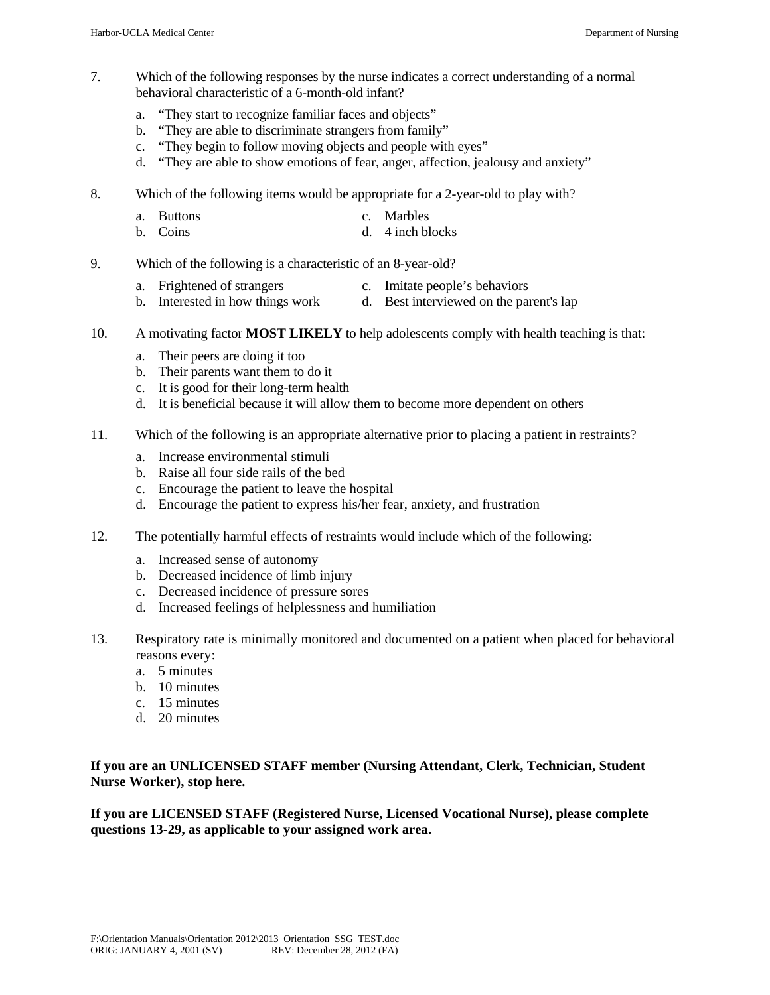- 7. Which of the following responses by the nurse indicates a correct understanding of a normal behavioral characteristic of a 6-month-old infant?
	- a. "They start to recognize familiar faces and objects"
	- b. "They are able to discriminate strangers from family"
	- c. "They begin to follow moving objects and people with eyes"
	- d. "They are able to show emotions of fear, anger, affection, jealousy and anxiety"
- 8. Which of the following items would be appropriate for a 2-year-old to play with?
	- a. Buttons c. Marbles
	- b. Coins d. 4 inch blocks
- 9. Which of the following is a characteristic of an 8-year-old?
	- a. Frightened of strangers c. Imitate people's behaviors
	- b. Interested in how things work d. Best interviewed on the parent's lap
- 10. A motivating factor **MOST LIKELY** to help adolescents comply with health teaching is that:
	- a. Their peers are doing it too
	- b. Their parents want them to do it
	- c. It is good for their long-term health
	- d. It is beneficial because it will allow them to become more dependent on others
- 11. Which of the following is an appropriate alternative prior to placing a patient in restraints?
	- a. Increase environmental stimuli
	- b. Raise all four side rails of the bed
	- c. Encourage the patient to leave the hospital
	- d. Encourage the patient to express his/her fear, anxiety, and frustration
- 12. The potentially harmful effects of restraints would include which of the following:
	- a. Increased sense of autonomy
	- b. Decreased incidence of limb injury
	- c. Decreased incidence of pressure sores
	- d. Increased feelings of helplessness and humiliation
- 13. Respiratory rate is minimally monitored and documented on a patient when placed for behavioral reasons every:
	- a. 5 minutes
	- b. 10 minutes
	- c. 15 minutes
	- d. 20 minutes

# **If you are an UNLICENSED STAFF member (Nursing Attendant, Clerk, Technician, Student Nurse Worker), stop here.**

**If you are LICENSED STAFF (Registered Nurse, Licensed Vocational Nurse), please complete questions 13-29, as applicable to your assigned work area.**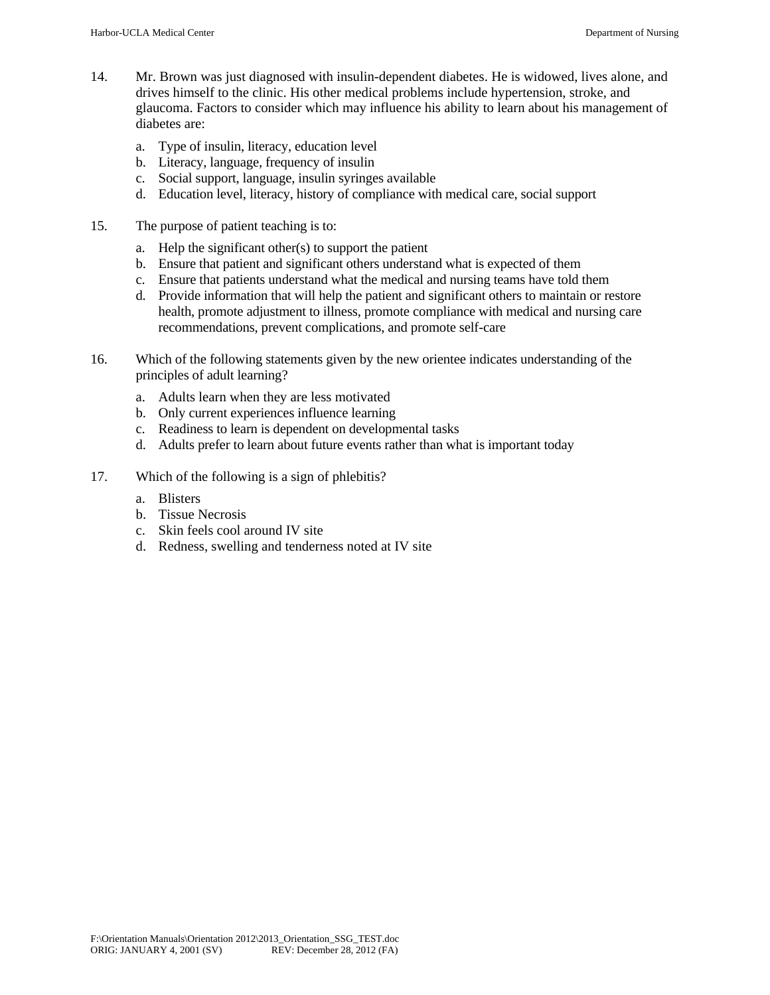- 14. Mr. Brown was just diagnosed with insulin-dependent diabetes. He is widowed, lives alone, and drives himself to the clinic. His other medical problems include hypertension, stroke, and glaucoma. Factors to consider which may influence his ability to learn about his management of diabetes are:
	- a. Type of insulin, literacy, education level
	- b. Literacy, language, frequency of insulin
	- c. Social support, language, insulin syringes available
	- d. Education level, literacy, history of compliance with medical care, social support
- 15. The purpose of patient teaching is to:
	- a. Help the significant other(s) to support the patient
	- b. Ensure that patient and significant others understand what is expected of them
	- c. Ensure that patients understand what the medical and nursing teams have told them
	- d. Provide information that will help the patient and significant others to maintain or restore health, promote adjustment to illness, promote compliance with medical and nursing care recommendations, prevent complications, and promote self-care
- 16. Which of the following statements given by the new orientee indicates understanding of the principles of adult learning?
	- a. Adults learn when they are less motivated
	- b. Only current experiences influence learning
	- c. Readiness to learn is dependent on developmental tasks
	- d. Adults prefer to learn about future events rather than what is important today
- 17. Which of the following is a sign of phlebitis?
	- a. Blisters
	- b. Tissue Necrosis
	- c. Skin feels cool around IV site
	- d. Redness, swelling and tenderness noted at IV site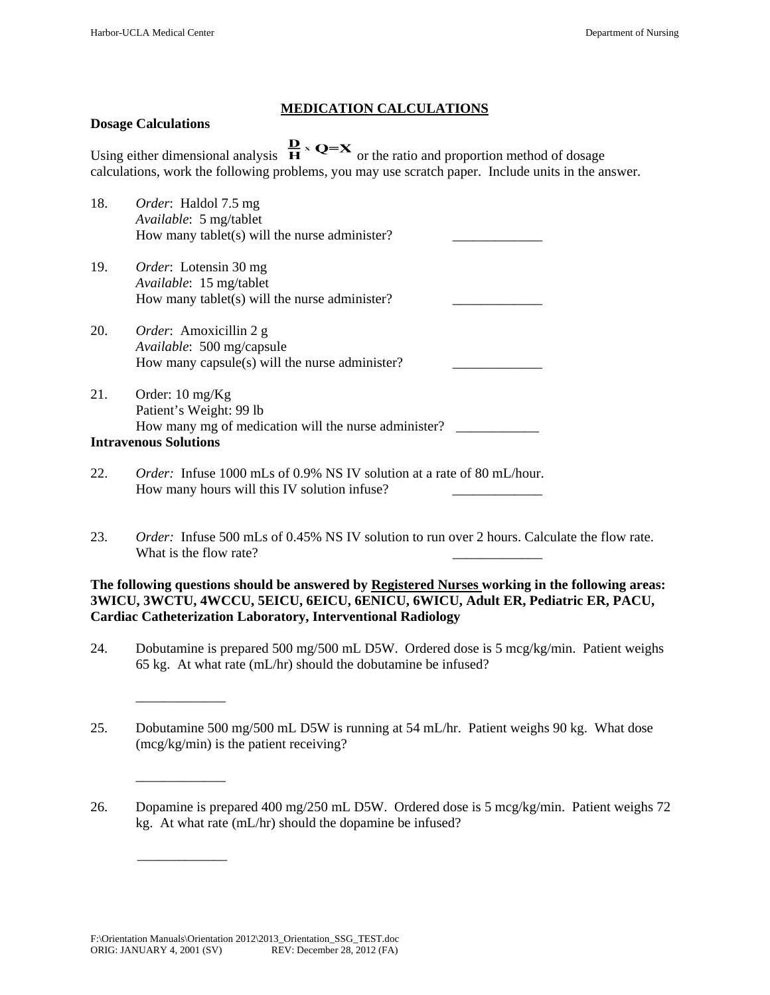## **MEDICATION CALCULATIONS**

## **Dosage Calculations**

 $\overline{\phantom{a}}$  ,  $\overline{\phantom{a}}$  ,  $\overline{\phantom{a}}$  ,  $\overline{\phantom{a}}$  ,  $\overline{\phantom{a}}$  ,  $\overline{\phantom{a}}$  ,  $\overline{\phantom{a}}$  ,  $\overline{\phantom{a}}$  ,  $\overline{\phantom{a}}$  ,  $\overline{\phantom{a}}$  ,  $\overline{\phantom{a}}$  ,  $\overline{\phantom{a}}$  ,  $\overline{\phantom{a}}$  ,  $\overline{\phantom{a}}$  ,  $\overline{\phantom{a}}$  ,  $\overline{\phantom{a}}$ 

 $\mathcal{L}_\text{max}$  and  $\mathcal{L}_\text{max}$  and  $\mathcal{L}_\text{max}$ 

 $\overline{\phantom{a}}$  ,  $\overline{\phantom{a}}$  ,  $\overline{\phantom{a}}$  ,  $\overline{\phantom{a}}$  ,  $\overline{\phantom{a}}$  ,  $\overline{\phantom{a}}$  ,  $\overline{\phantom{a}}$  ,  $\overline{\phantom{a}}$  ,  $\overline{\phantom{a}}$  ,  $\overline{\phantom{a}}$  ,  $\overline{\phantom{a}}$  ,  $\overline{\phantom{a}}$  ,  $\overline{\phantom{a}}$  ,  $\overline{\phantom{a}}$  ,  $\overline{\phantom{a}}$  ,  $\overline{\phantom{a}}$ 

Using either dimensional analysis  $\frac{\mathbf{D}}{\mathbf{H}} \times \mathbf{Q} = \mathbf{X}$  or the ratio and proportion method of dosage calculations, work the following problems, you may use scratch paper. Include units in the answer.

| 18. | <i>Order</i> : Haldol 7.5 mg<br>Available: 5 mg/tablet<br>How many tablet(s) will the nurse administer?       |  |
|-----|---------------------------------------------------------------------------------------------------------------|--|
| 19. | <i>Order</i> : Lotensin 30 mg<br>Available: 15 mg/tablet<br>How many tablet(s) will the nurse administer?     |  |
| 20. | <i>Order</i> : Amoxicillin 2 g<br>Available: 500 mg/capsule<br>How many capsule(s) will the nurse administer? |  |
| 21. | Order: $10 \text{ mg/Kg}$<br>Patient's Weight: 99 lb<br>How many mg of medication will the nurse administer?  |  |
|     | <b>Intravenous Solutions</b>                                                                                  |  |

- 22. *Order:* Infuse 1000 mLs of 0.9% NS IV solution at a rate of 80 mL/hour. How many hours will this IV solution infuse?
- 23. *Order:* Infuse 500 mLs of 0.45% NS IV solution to run over 2 hours. Calculate the flow rate. What is the flow rate?

**The following questions should be answered by Registered Nurses working in the following areas: 3WICU, 3WCTU, 4WCCU, 5EICU, 6EICU, 6ENICU, 6WICU, Adult ER, Pediatric ER, PACU, Cardiac Catheterization Laboratory, Interventional Radiology** 

- 24. Dobutamine is prepared 500 mg/500 mL D5W. Ordered dose is 5 mcg/kg/min. Patient weighs 65 kg. At what rate (mL/hr) should the dobutamine be infused?
- 25. Dobutamine 500 mg/500 mL D5W is running at 54 mL/hr. Patient weighs 90 kg. What dose (mcg/kg/min) is the patient receiving?
- 26. Dopamine is prepared 400 mg/250 mL D5W. Ordered dose is 5 mcg/kg/min. Patient weighs 72 kg. At what rate (mL/hr) should the dopamine be infused?